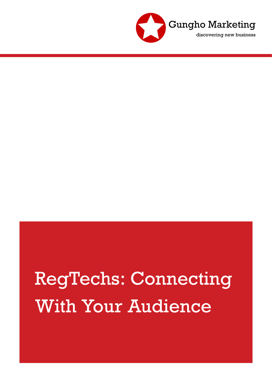

# RegTechs: Connecting With Your Audience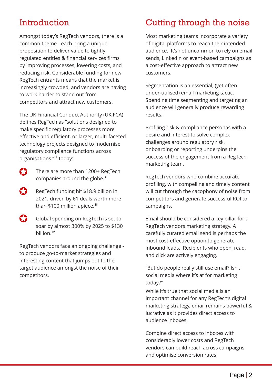#### Introduction

Amongst today's RegTech vendors, there is a common theme - each bring a unique proposition to deliver value to tightly regulated entities & financial services firms by improving processes, lowering costs, and reducing risk. Considerable funding for new RegTech entrants means that the market is increasingly crowded, and vendors are having to work harder to stand out from competitors and attract new customers.

The UK Financial Conduct Authority (UK FCA) defines RegTech as "solutions designed to make specific regulatory processes more effective and efficient, or larger, multi-faceted technology projects designed to modernise regulatory compliance functions across organisations." <sup>i</sup> Today:

- 63 There are more than 1200+ RegTech companies around the globe.<sup>ii</sup>
- RegTech funding hit \$18.9 billion in 2021, driven by 61 deals worth more than \$100 million apiece. <sup>iii</sup>
- $\bullet$ Global spending on RegTech is set to soar by almost 300% by 2025 to \$130 billion. <sup>iv</sup>

RegTech vendors face an ongoing challenge to produce go-to-market strategies and interesting content that jumps out to the target audience amongst the noise of their competitors.

## Cutting through the noise

Most marketing teams incorporate a variety of digital platforms to reach their intended audience. It's not uncommon to rely on email sends, LinkedIn or event-based campaigns as a cost-effective approach to attract new customers.

Segmentation is an essential, (yet often under-utilised) email marketing tactic. Spending time segmenting and targeting an audience will generally produce rewarding results.

Profiling risk & compliance personas with a desire and interest to solve complex challenges around regulatory risk, onboarding or reporting underpins the success of the engagement from a RegTech marketing team.

RegTech vendors who combine accurate profiling, with compelling and timely content will cut through the cacophony of noise from competitors and generate successful ROI to campaigns.

Email should be considered a key pillar for a RegTech vendors marketing strategy. A carefully curated email send is perhaps the most cost-effective option to generate inbound leads. Recipients who open, read, and click are actively engaging.

"But do people really still use email? Isn't social media where it's at for marketing today?"

important channel for any RegTech's digital important channel for any region of the marketing strategy, email remains powerful &  $\lim_{n \to \infty} \frac{1}{n}$  lucrative as it provides direct access to audience inboxes. While it's true that social media is an

considerably lower costs and RegTech vendors can build reach across campaigns and optimise conversion rates. and optimise conversion rates. Combine direct access to inboxes with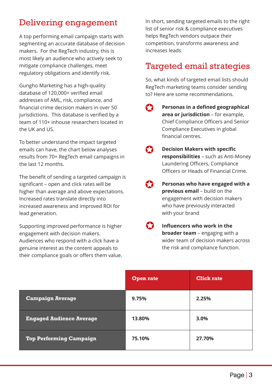#### Delivering engagement

A top performing email campaign starts with segmenting an accurate database of decision makers. For the RegTech industry, this is most likely an audience who actively seek to mitigate compliance challenges, meet regulatory obligations and identify risk.

Gungho Marketing has a high-quality database of 120,000+ verified email addresses of AML, risk, compliance, and financial crime decision makers in over 50 jurisdictions. This database is verified by a team of 110+ inhouse researchers located in the UK and US.

To better understand the impact targeted emails can have, the chart below analyses results from 70+ RegTech email campaigns in the last 12 months.

The benefit of sending a targeted campaign is significant – open and click rates will be higher than average and above expectations. Increased rates translate directly into increased awareness and improved ROI for lead generation.

Supporting improved performance is higher engagement with decision makers. Audiences who respond with a click have a genuine interest as the content appeals to their compliance goals or offers them value. In short, sending targeted emails to the right list of senior risk & compliance executives helps RegTech vendors outpace their competition, transforms awareness and increases leads.

## Targeted email strategies

So, what kinds of targeted email lists should RegTech marketing teams consider sending to? Here are some recommendations.

- C **Personas in a defined geographical area or jurisdiction** – for example, Chief Compliance Officers and Senior Compliance Executives in global financial centres.
	- **Decision Makers with specific responsibilities** – such as Anti-Money Laundering Officers, Compliance Officers or Heads of Financial Crime.
- **Personas who have engaged with a previous email** – build on the engagement with decision makers who have previously interacted with your brand
- **Influencers who work in the broader team** – engaging with a wider team of decision makers across the risk and compliance function.

|                                 | <b>Open rate</b> | <b>Click rate</b> |
|---------------------------------|------------------|-------------------|
| <b>Campaign Average</b>         | 9.75%            | 2.25%             |
| <b>Engaged Audience Average</b> | 13.80%           | 3.0%              |
| <b>Top Performing Campaign</b>  | 75.10%           | 27.70%            |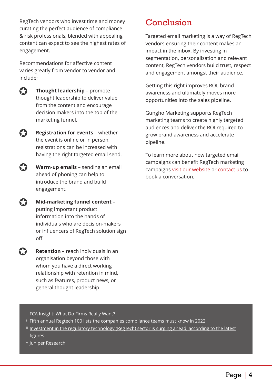RegTech vendors who invest time and money curating the perfect audience of compliance & risk professionals, blended with appealing content can expect to see the highest rates of engagement.

Recommendations for affective content varies greatly from vendor to vendor and include;



**Thought leadership** – promote thought leadership to deliver value from the content and encourage decision makers into the top of the marketing funnel.

**Registration for events** – whether the event is online or in person, registrations can be increased with having the right targeted email send.

67 **Warm-up emails** – sending an email ahead of phoning can help to introduce the brand and build engagement.

 $\bullet$ **Mid-marketing funnel content** – putting important product information into the hands of individuals who are decision-makers or influencers of RegTech solution sign off.

> **Retention** – reach individuals in an organisation beyond those with whom you have a direct working relationship with retention in mind, such as features, product news, or general thought leadership.

## Conclusion

Targeted email marketing is a way of RegTech vendors ensuring their content makes an impact in the inbox. By investing in segmentation, personalisation and relevant content, RegTech vendors build trust, respect and engagement amongst their audience.

Getting this right improves ROI, brand awareness and ultimately moves more opportunities into the sales pipeline.

Gungho Marketing supports RegTech marketing teams to create highly targeted audiences and deliver the ROI required to grow brand awareness and accelerate pipeline.

To learn more about how targeted email campaigns can benefit RegTech marketing campaigns [visit our website](https://gunghomarketing.co.uk) or [contact us](https://gunghomarketing.co.uk/home/contact/) to book a conversation.

- **[FCA Insight: What Do Firms Really Want?](https://www.fca.org.uk/insight/future-regtech-what-do-firms-really-want)**
- $^{\text{\tiny{ii}}}$  <u>[Fifth annual Regtech 100 lists the companies compliance teams must know in 2022](https://member.fintech.global/2021/12/07/fifth-annual-regtech100-lists-the-companies-compliance-teams-must-know-in-2022/)</u>
- $^{\text{\tiny{iii}}}$  <u>[Investment in the regulatory technology \(RegTech\) sector is surging ahead, according to the latest](https://transformfinance.media/finance/regtech-funding-hit-new-records-in-2021/)</u> [figures](https://transformfinance.media/finance/regtech-funding-hit-new-records-in-2021/)
- <u>iv [Juniper Research](https://www.juniperresearch.com/press/regtech-spending-to-exceed-130-billion-in-2025)</u>